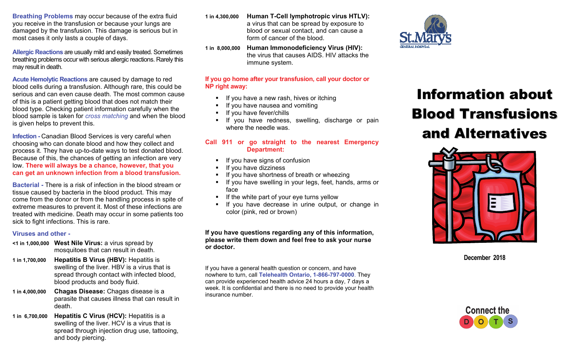**Breathing Problems** may occur because of the extra fluid you receive in the transfusion or because your lungs are damaged by the transfusion. This damage is serious but in most cases it only lasts a couple of days.

**Allergic Reactions** are usually mild and easily treated. Sometimes breathing problems occur with serious allergic reactions. Rarely this may result in death.

**Acute Hemolytic Reactions** are caused by damage to red blood cells during a transfusion. Although rare, this could be serious and can even cause death. The most common cause of this is a patient getting blood that does not match their blood type. Checking patient information carefully when the blood sample is taken for *cross matching* and when the blood is given helps to prevent this.

**Infection - Canadian Blood Services is very careful when** choosing who can donate blood and how they collect and process it. They have up-to-date ways to test donated blood. Because of this, the chances of getting an infection are very low. **There will always be a chance, however, that you can get an unknown infection from a blood transfusion.** 

**Bacterial -** There is a risk of infection in the blood stream or tissue caused by bacteria in the blood product. This may come from the donor or from the handling process in spite of extreme measures to prevent it. Most of these infections are treated with medicine. Death may occur in some patients too sick to fight infections. This is rare.

#### **Viruses and other -**

- **<1 in 1,000,000 West Nile Virus:** a virus spread by mosquitoes that can result in death.
- **1 in 1,700,000 Hepatitis B Virus (HBV):** Hepatitis is swelling of the liver. HBV is a virus that is spread through contact with infected blood, blood products and body fluid.
- **1 in 4,000,000 Chagas Disease:** Chagas disease is a parasite that causes illness that can result in death.
- **1 in 6,700,000 Hepatitis C Virus (HCV):** Hepatitis is a swelling of the liver. HCV is a virus that is spread through injection drug use, tattooing, and body piercing.
- **1 in 4,300,000 Human T-Cell lymphotropic virus HTLV):**  a virus that can be spread by exposure to blood or sexual contact, and can cause a form of cancer of the blood.
- **1 in 8,000,000 Human Immonodeficiency Virus (HIV):** the virus that causes AIDS. HIV attacks the immune system.

# **If you go home after your transfusion, call your doctor or NP right away:**

- If you have a new rash, hives or itching
- If you have nausea and vomiting
- If you have fever/chills
- **If you have redness, swelling, discharge or pain** where the needle was.

# **Call 911 or go straight to the nearest Emergency Department:**

- **If you have signs of confusion**
- If you have dizziness
- If you have shortness of breath or wheezing
- If you have swelling in your legs, feet, hands, arms or face
- **If the white part of your eve turns yellow**
- If you have decrease in urine output, or change in color (pink, red or brown)

**If you have questions regarding any of this information, please write them down and feel free to ask your nurse or doctor.** 

If you have a general health question or concern, and have nowhere to turn, call **Telehealth Ontario, 1-866-797-0000**. They can provide experienced health advice 24 hours a day, 7 days a week. It is confidential and there is no need to provide your health insurance number.



# **Information about Blood Transfusions** and Alternatives



**December 2018**